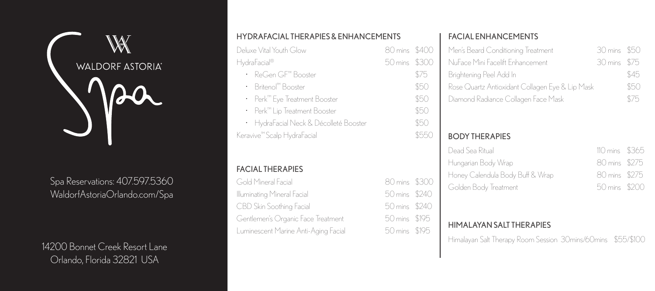

Spa Reservations: 407.597.5360 WaldorfAstoriaOrlando.com/Spa

14200 Bonnet Creek Resort Lane Orlando, Florida 32821 USA

| HYDRAFACIAL THERAPIES & ENHANCEMENTS   |               |       |  |
|----------------------------------------|---------------|-------|--|
| Deluxe Vital Youth Glow                | 80 mins \$400 |       |  |
| HydraFacial®                           | 50 mins \$300 |       |  |
| • ReGen GF™ Booster                    |               | \$75  |  |
| • Britenol™ Booster                    |               | \$50  |  |
| • Perk™ Eye Treatment Booster          |               | \$50  |  |
| • Perk™ Lip Treatment Booster          |               | \$50  |  |
| • HydraFacial Neck & Décolleté Booster |               | \$50  |  |
| Keravive™Scalp HydraFacial             |               | \$550 |  |
|                                        |               |       |  |
| <b>FACIAL THERAPIES</b>                |               |       |  |
| Cold Minoral Epoial                    | 80 mins -     |       |  |

## FACIAL THERAPIES

Gold Mineral Facial 80 mins \$300 Illuminating Mineral Facial 60 mins \$240 CBD Skin Soothing Facial 50 mins \$240 Gentlemen's Organic Face Treatment 50 mins \$195 Luminescent Marine Anti-Aging Facial 50 mins \$195

### FACIAL ENHANCEMENTS

| Men's Beard Conditioning Treatment              | 30 mins - | -\$50 |
|-------------------------------------------------|-----------|-------|
| NuFace Mini Facelift Enhancement                | 30 mins   | \$75  |
| Brightening Peel Add In                         |           | \$45  |
| Rose Quartz Antioxidant Collagen Eye & Lip Mask |           | \$50  |
| Diamond Radiance Collagen Face Mask             |           | \$75  |
|                                                 |           |       |
|                                                 |           |       |
| <b>BODY THERAPIES</b>                           |           |       |
| Dead Sea Ritual                                 | 110 mins  | \$365 |
| Hungarian Body Wrap                             | 80 mins   | \$275 |
| Honey Calendula Body Buff & Wrap                | 80 mins   | \$275 |
| Golden Body Treatment                           | 50 mins - | \$200 |
|                                                 |           |       |
|                                                 |           |       |
|                                                 |           |       |

#### HIMALAYAN SALT THERAPIES

Himalayan Salt Therapy Room Session 30mins/60mins \$55/\$100